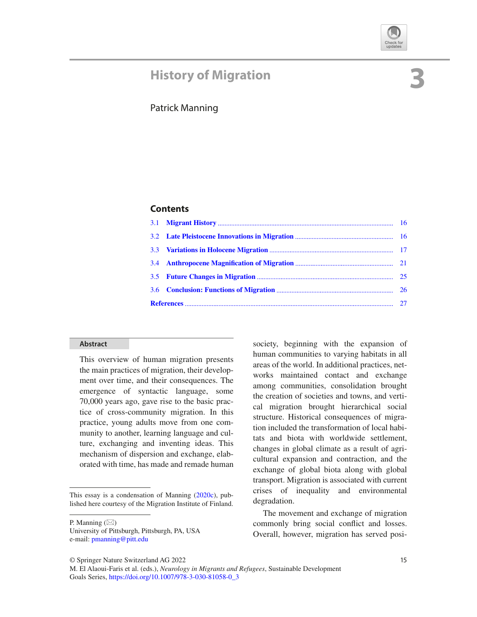## **History of Migration**

# **3**

### Patrick Manning

#### **Contents**

#### **Abstract**

This overview of human migration presents the main practices of migration, their development over time, and their consequences. The emergence of syntactic language, some 70,000 years ago, gave rise to the basic practice of cross-community migration. In this practice, young adults move from one community to another, learning language and culture, exchanging and inventing ideas. This mechanism of dispersion and exchange, elaborated with time, has made and remade human society, beginning with the expansion of human communities to varying habitats in all areas of the world. In additional practices, networks maintained contact and exchange among communities, consolidation brought the creation of societies and towns, and vertical migration brought hierarchical social structure. Historical consequences of migration included the transformation of local habitats and biota with worldwide settlement, changes in global climate as a result of agricultural expansion and contraction, and the exchange of global biota along with global transport. Migration is associated with current crises of inequality and environmental degradation.

The movement and exchange of migration commonly bring social conflict and losses. Overall, however, migration has served posi-

This essay is a condensation of Manning (2020c), published here courtesy of the Migration Institute of Finland.

P. Manning  $(\boxtimes)$ 

University of Pittsburgh, Pittsburgh, PA, USA e-mail: pmanning@pitt.edu

<sup>©</sup> Springer Nature Switzerland AG 2022 15

M. El Alaoui-Faris et al. (eds.), *Neurology in Migrants and Refugees*, Sustainable Development Goals Series, https://doi.org/10.1007/978-3-030-81058-0\_3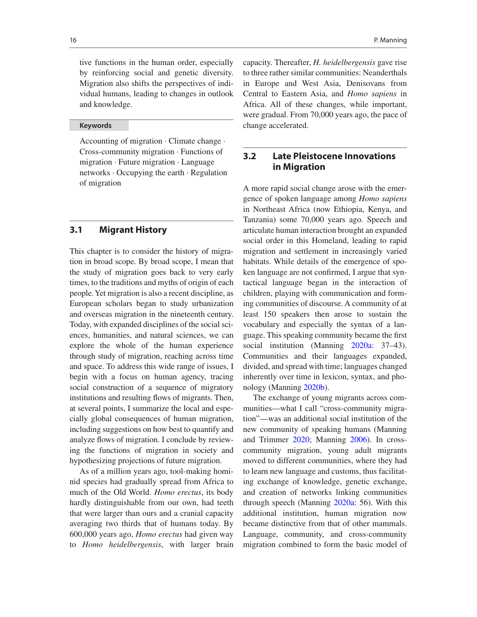tive functions in the human order, especially by reinforcing social and genetic diversity. Migration also shifts the perspectives of individual humans, leading to changes in outlook and knowledge.

#### **Keywords**

Accounting of migration · Climate change · Cross-community migration · Functions of migration · Future migration · Language networks · Occupying the earth · Regulation of migration

#### **3.1 Migrant History**

This chapter is to consider the history of migration in broad scope. By broad scope, I mean that the study of migration goes back to very early times, to the traditions and myths of origin of each people. Yet migration is also a recent discipline, as European scholars began to study urbanization and overseas migration in the nineteenth century. Today, with expanded disciplines of the social sciences, humanities, and natural sciences, we can explore the whole of the human experience through study of migration, reaching across time and space. To address this wide range of issues, I begin with a focus on human agency, tracing social construction of a sequence of migratory institutions and resulting flows of migrants. Then, at several points, I summarize the local and especially global consequences of human migration, including suggestions on how best to quantify and analyze flows of migration. I conclude by reviewing the functions of migration in society and hypothesizing projections of future migration.

As of a million years ago, tool-making hominid species had gradually spread from Africa to much of the Old World. *Homo erectus*, its body hardly distinguishable from our own, had teeth that were larger than ours and a cranial capacity averaging two thirds that of humans today. By 600,000 years ago, *Homo erectus* had given way to *Homo heidelbergensis*, with larger brain capacity. Thereafter, *H. heidelbergensis* gave rise to three rather similar communities: Neanderthals in Europe and West Asia, Denisovans from Central to Eastern Asia, and *Homo sapiens* in Africa. All of these changes, while important, were gradual. From 70,000 years ago, the pace of change accelerated.

#### **3.2 Late Pleistocene Innovations in Migration**

A more rapid social change arose with the emergence of spoken language among *Homo sapiens* in Northeast Africa (now Ethiopia, Kenya, and Tanzania) some 70,000 years ago. Speech and articulate human interaction brought an expanded social order in this Homeland, leading to rapid migration and settlement in increasingly varied habitats. While details of the emergence of spoken language are not confirmed, I argue that syntactical language began in the interaction of children, playing with communication and forming communities of discourse. A community of at least 150 speakers then arose to sustain the vocabulary and especially the syntax of a language. This speaking community became the first social institution (Manning 2020a: 37–43). Communities and their languages expanded, divided, and spread with time; languages changed inherently over time in lexicon, syntax, and phonology (Manning 2020b).

The exchange of young migrants across communities—what I call "cross-community migration"—was an additional social institution of the new community of speaking humans (Manning and Trimmer 2020; Manning 2006). In crosscommunity migration, young adult migrants moved to different communities, where they had to learn new language and customs, thus facilitating exchange of knowledge, genetic exchange, and creation of networks linking communities through speech (Manning 2020a: 56). With this additional institution, human migration now became distinctive from that of other mammals. Language, community, and cross-community migration combined to form the basic model of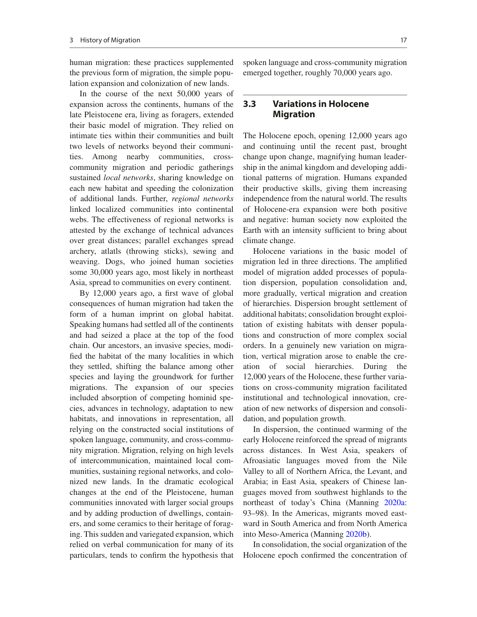human migration: these practices supplemented the previous form of migration, the simple population expansion and colonization of new lands.

In the course of the next 50,000 years of expansion across the continents, humans of the late Pleistocene era, living as foragers, extended their basic model of migration. They relied on intimate ties within their communities and built two levels of networks beyond their communities. Among nearby communities, crosscommunity migration and periodic gatherings sustained *local networks*, sharing knowledge on each new habitat and speeding the colonization of additional lands. Further, *regional networks* linked localized communities into continental webs. The effectiveness of regional networks is attested by the exchange of technical advances over great distances; parallel exchanges spread archery, atlatls (throwing sticks), sewing and weaving. Dogs, who joined human societies some 30,000 years ago, most likely in northeast Asia, spread to communities on every continent.

By  $12,000$  years ago, a first wave of global consequences of human migration had taken the form of a human imprint on global habitat. Speaking humans had settled all of the continents and had seized a place at the top of the food chain. Our ancestors, an invasive species, modi fied the habitat of the many localities in which they settled, shifting the balance among other species and laying the groundwork for further migrations. The expansion of our species included absorption of competing hominid species, advances in technology, adaptation to new habitats, and innovations in representation, all relying on the constructed social institutions of spoken language, community, and cross-community migration. Migration, relying on high levels of intercommunication, maintained local communities, sustaining regional networks, and colonized new lands. In the dramatic ecological changes at the end of the Pleistocene, human communities innovated with larger social groups and by adding production of dwellings, containers, and some ceramics to their heritage of foraging. This sudden and variegated expansion, which relied on verbal communication for many of its particulars, tends to confirm the hypothesis that

spoken language and cross-community migration emerged together, roughly 70,000 years ago.

#### **3.3 Variations in Holocene Migration**

The Holocene epoch, opening 12,000 years ago and continuing until the recent past, brought change upon change, magnifying human leadership in the animal kingdom and developing additional patterns of migration. Humans expanded their productive skills, giving them increasing independence from the natural world. The results of Holocene-era expansion were both positive and negative: human society now exploited the Earth with an intensity sufficient to bring about climate change.

Holocene variations in the basic model of migration led in three directions. The amplified model of migration added processes of population dispersion, population consolidation and, more gradually, vertical migration and creation of hierarchies. Dispersion brought settlement of additional habitats; consolidation brought exploitation of existing habitats with denser populations and construction of more complex social orders. In a genuinely new variation on migration, vertical migration arose to enable the creation of social hierarchies. During the 12,000 years of the Holocene, these further variations on cross-community migration facilitated institutional and technological innovation, creation of new networks of dispersion and consolidation, and population growth.

In dispersion, the continued warming of the early Holocene reinforced the spread of migrants across distances. In West Asia, speakers of Afroasiatic languages moved from the Nile Valley to all of Northern Africa, the Levant, and Arabia; in East Asia, speakers of Chinese languages moved from southwest highlands to the northeast of today's China (Manning 2020a: 93–98). In the Americas, migrants moved eastward in South America and from North America into Meso-America (Manning 2020b).

In consolidation, the social organization of the Holocene epoch confirmed the concentration of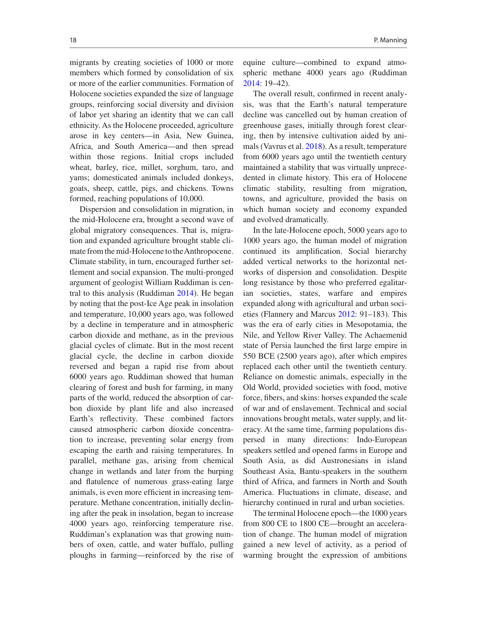migrants by creating societies of 1000 or more members which formed by consolidation of six or more of the earlier communities. Formation of Holocene societies expanded the size of language groups, reinforcing social diversity and division of labor yet sharing an identity that we can call ethnicity. As the Holocene proceeded, agriculture arose in key centers—in Asia, New Guinea, Africa, and South America—and then spread within those regions. Initial crops included wheat, barley, rice, millet, sorghum, taro, and yams; domesticated animals included donkeys, goats, sheep, cattle, pigs, and chickens. Towns formed, reaching populations of 10,000.

Dispersion and consolidation in migration, in the mid-Holocene era, brought a second wave of global migratory consequences. That is, migration and expanded agriculture brought stable climate from the mid-Holocene to the Anthropocene. Climate stability, in turn, encouraged further settlement and social expansion. The multi-pronged argument of geologist William Ruddiman is central to this analysis (Ruddiman 2014). He began by noting that the post-Ice Age peak in insolation and temperature, 10,000 years ago, was followed by a decline in temperature and in atmospheric carbon dioxide and methane, as in the previous glacial cycles of climate. But in the most recent glacial cycle, the decline in carbon dioxide reversed and began a rapid rise from about 6000 years ago. Ruddiman showed that human clearing of forest and bush for farming, in many parts of the world, reduced the absorption of carbon dioxide by plant life and also increased Earth's reflectivity. These combined factors caused atmospheric carbon dioxide concentration to increase, preventing solar energy from escaping the earth and raising temperatures. In parallel, methane gas, arising from chemical change in wetlands and later from the burping and flatulence of numerous grass-eating large animals, is even more efficient in increasing temperature. Methane concentration, initially declining after the peak in insolation, began to increase 4000 years ago, reinforcing temperature rise. Ruddiman's explanation was that growing numbers of oxen, cattle, and water buffalo, pulling ploughs in farming—reinforced by the rise of equine culture—combined to expand atmospheric methane 4000 years ago (Ruddiman 2014: 19–42).

The overall result, confirmed in recent analysis, was that the Earth's natural temperature decline was cancelled out by human creation of greenhouse gases, initially through forest clearing, then by intensive cultivation aided by animals (Vavrus et al. 2018). As a result, temperature from 6000 years ago until the twentieth century maintained a stability that was virtually unprecedented in climate history. This era of Holocene climatic stability, resulting from migration, towns, and agriculture, provided the basis on which human society and economy expanded and evolved dramatically.

In the late-Holocene epoch, 5000 years ago to 1000 years ago, the human model of migration continued its amplification. Social hierarchy added vertical networks to the horizontal networks of dispersion and consolidation. Despite long resistance by those who preferred egalitarian societies, states, warfare and empires expanded along with agricultural and urban societies (Flannery and Marcus 2012: 91–183). This was the era of early cities in Mesopotamia, the Nile, and Yellow River Valley. The Achaemenid state of Persia launched the first large empire in 550 BCE (2500 years ago), after which empires replaced each other until the twentieth century. Reliance on domestic animals, especially in the Old World, provided societies with food, motive force, fibers, and skins: horses expanded the scale of war and of enslavement. Technical and social innovations brought metals, water supply, and literacy. At the same time, farming populations dispersed in many directions: Indo-European speakers settled and opened farms in Europe and South Asia, as did Austronesians in island Southeast Asia, Bantu-speakers in the southern third of Africa, and farmers in North and South America. Fluctuations in climate, disease, and hierarchy continued in rural and urban societies.

The terminal Holocene epoch—the 1000 years from 800 CE to 1800 CE—brought an acceleration of change. The human model of migration gained a new level of activity, as a period of warming brought the expression of ambitions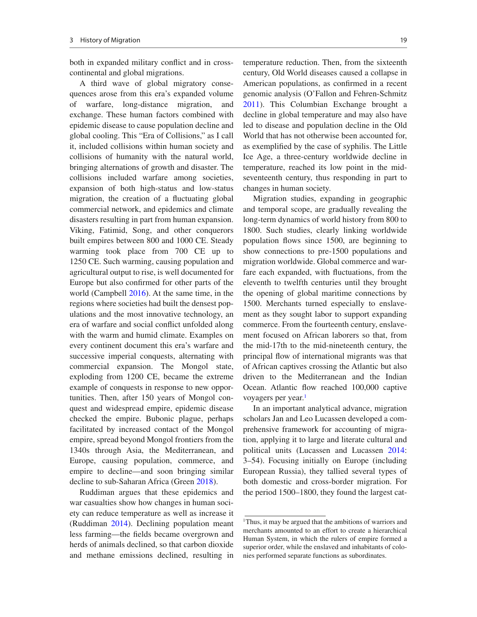both in expanded military conflict and in crosscontinental and global migrations.

A third wave of global migratory consequences arose from this era's expanded volume of warfare, long-distance migration, and exchange. These human factors combined with epidemic disease to cause population decline and global cooling. This "Era of Collisions," as I call it, included collisions within human society and collisions of humanity with the natural world, bringing alternations of growth and disaster. The collisions included warfare among societies, expansion of both high-status and low-status migration, the creation of a fluctuating global commercial network, and epidemics and climate disasters resulting in part from human expansion. Viking, Fatimid, Song, and other conquerors built empires between 800 and 1000 CE. Steady warming took place from 700 CE up to 1250 CE. Such warming, causing population and agricultural output to rise, is well documented for Europe but also confirmed for other parts of the world (Campbell 2016). At the same time, in the regions where societies had built the densest populations and the most innovative technology, an era of warfare and social conflict unfolded along with the warm and humid climate. Examples on every continent document this era's warfare and successive imperial conquests, alternating with commercial expansion. The Mongol state, exploding from 1200 CE, became the extreme example of conquests in response to new opportunities. Then, after 150 years of Mongol conquest and widespread empire, epidemic disease checked the empire. Bubonic plague, perhaps facilitated by increased contact of the Mongol empire, spread beyond Mongol frontiers from the 1340s through Asia, the Mediterranean, and Europe, causing population, commerce, and empire to decline—and soon bringing similar decline to sub-Saharan Africa (Green 2018).

Ruddiman argues that these epidemics and war casualties show how changes in human society can reduce temperature as well as increase it (Ruddiman 2014). Declining population meant less farming—the fields became overgrown and herds of animals declined, so that carbon dioxide and methane emissions declined, resulting in

temperature reduction. Then, from the sixteenth century, Old World diseases caused a collapse in American populations, as confirmed in a recent genomic analysis (O'Fallon and Fehren-Schmitz 2011). This Columbian Exchange brought a decline in global temperature and may also have led to disease and population decline in the Old World that has not otherwise been accounted for, as exemplified by the case of syphilis. The Little Ice Age, a three-century worldwide decline in temperature, reached its low point in the midseventeenth century, thus responding in part to changes in human society.

Migration studies, expanding in geographic and temporal scope, are gradually revealing the long-term dynamics of world history from 800 to 1800. Such studies, clearly linking worldwide population flows since 1500, are beginning to show connections to pre-1500 populations and migration worldwide. Global commerce and warfare each expanded, with fluctuations, from the eleventh to twelfth centuries until they brought the opening of global maritime connections by 1500. Merchants turned especially to enslavement as they sought labor to support expanding commerce. From the fourteenth century, enslavement focused on African laborers so that, from the mid-17th to the mid-nineteenth century, the principal flow of international migrants was that of African captives crossing the Atlantic but also driven to the Mediterranean and the Indian Ocean. Atlantic flow reached 100,000 captive voyagers per year.<sup>1</sup>

In an important analytical advance, migration scholars Jan and Leo Lucassen developed a comprehensive framework for accounting of migration, applying it to large and literate cultural and political units (Lucassen and Lucassen 2014: 3–54). Focusing initially on Europe (including European Russia), they tallied several types of both domestic and cross-border migration. For the period 1500–1800, they found the largest cat-

<sup>&</sup>lt;sup>1</sup>Thus, it may be argued that the ambitions of warriors and merchants amounted to an effort to create a hierarchical Human System, in which the rulers of empire formed a superior order, while the enslaved and inhabitants of colonies performed separate functions as subordinates.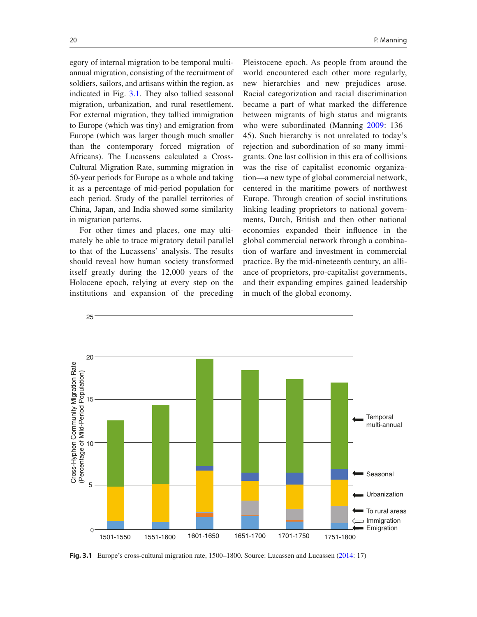egory of internal migration to be temporal multiannual migration, consisting of the recruitment of soldiers, sailors, and artisans within the region, as indicated in Fig. 3.1. They also tallied seasonal migration, urbanization, and rural resettlement. For external migration, they tallied immigration to Europe (which was tiny) and emigration from Europe (which was larger though much smaller than the contemporary forced migration of Africans). The Lucassens calculated a Cross-Cultural Migration Rate, summing migration in 50-year periods for Europe as a whole and taking it as a percentage of mid-period population for each period. Study of the parallel territories of China, Japan, and India showed some similarity in migration patterns.

For other times and places, one may ultimately be able to trace migratory detail parallel to that of the Lucassens' analysis. The results should reveal how human society transformed itself greatly during the 12,000 years of the Holocene epoch, relying at every step on the institutions and expansion of the preceding

Pleistocene epoch. As people from around the world encountered each other more regularly, new hierarchies and new prejudices arose. Racial categorization and racial discrimination became a part of what marked the difference between migrants of high status and migrants who were subordinated (Manning 2009: 136– 45). Such hierarchy is not unrelated to today's rejection and subordination of so many immigrants. One last collision in this era of collisions was the rise of capitalist economic organization—a new type of global commercial network, centered in the maritime powers of northwest Europe. Through creation of social institutions linking leading proprietors to national governments, Dutch, British and then other national economies expanded their influence in the global commercial network through a combination of warfare and investment in commercial practice. By the mid-nineteenth century, an alliance of proprietors, pro-capitalist governments, and their expanding empires gained leadership in much of the global economy.



**Fig. 3.1** Europe's cross-cultural migration rate, 1500–1800. Source: Lucassen and Lucassen (2014: 17)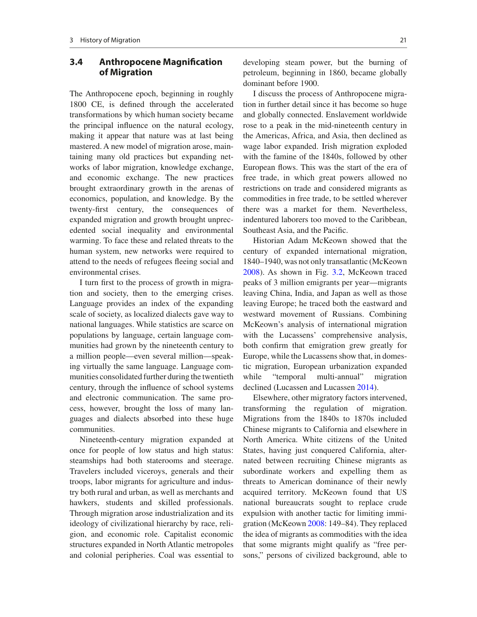#### **3.4 Anthropocene Magni"cation of Migration**

The Anthropocene epoch, beginning in roughly 1800 CE, is defined through the accelerated transformations by which human society became the principal influence on the natural ecology, making it appear that nature was at last being mastered. A new model of migration arose, maintaining many old practices but expanding networks of labor migration, knowledge exchange, and economic exchange. The new practices brought extraordinary growth in the arenas of economics, population, and knowledge. By the twenty-first century, the consequences of expanded migration and growth brought unprecedented social inequality and environmental warming. To face these and related threats to the human system, new networks were required to attend to the needs of refugees fleeing social and environmental crises.

I turn first to the process of growth in migration and society, then to the emerging crises. Language provides an index of the expanding scale of society, as localized dialects gave way to national languages. While statistics are scarce on populations by language, certain language communities had grown by the nineteenth century to a million people—even several million—speaking virtually the same language. Language communities consolidated further during the twentieth century, through the influence of school systems and electronic communication. The same process, however, brought the loss of many languages and dialects absorbed into these huge communities.

Nineteenth-century migration expanded at once for people of low status and high status: steamships had both staterooms and steerage. Travelers included viceroys, generals and their troops, labor migrants for agriculture and industry both rural and urban, as well as merchants and hawkers, students and skilled professionals. Through migration arose industrialization and its ideology of civilizational hierarchy by race, religion, and economic role. Capitalist economic structures expanded in North Atlantic metropoles and colonial peripheries. Coal was essential to developing steam power, but the burning of petroleum, beginning in 1860, became globally dominant before 1900.

I discuss the process of Anthropocene migration in further detail since it has become so huge and globally connected. Enslavement worldwide rose to a peak in the mid-nineteenth century in the Americas, Africa, and Asia, then declined as wage labor expanded. Irish migration exploded with the famine of the 1840s, followed by other European flows. This was the start of the era of free trade, in which great powers allowed no restrictions on trade and considered migrants as commodities in free trade, to be settled wherever there was a market for them. Nevertheless, indentured laborers too moved to the Caribbean, Southeast Asia, and the Pacific.

Historian Adam McKeown showed that the century of expanded international migration, 1840–1940, was not only transatlantic (McKeown 2008). As shown in Fig. 3.2, McKeown traced peaks of 3 million emigrants per year—migrants leaving China, India, and Japan as well as those leaving Europe; he traced both the eastward and westward movement of Russians. Combining McKeown's analysis of international migration with the Lucassens' comprehensive analysis, both confirm that emigration grew greatly for Europe, while the Lucassens show that, in domestic migration, European urbanization expanded while "temporal multi-annual" migration declined (Lucassen and Lucassen 2014).

Elsewhere, other migratory factors intervened, transforming the regulation of migration. Migrations from the 1840s to 1870s included Chinese migrants to California and elsewhere in North America. White citizens of the United States, having just conquered California, alternated between recruiting Chinese migrants as subordinate workers and expelling them as threats to American dominance of their newly acquired territory. McKeown found that US national bureaucrats sought to replace crude expulsion with another tactic for limiting immigration (McKeown 2008: 149–84). They replaced the idea of migrants as commodities with the idea that some migrants might qualify as "free persons," persons of civilized background, able to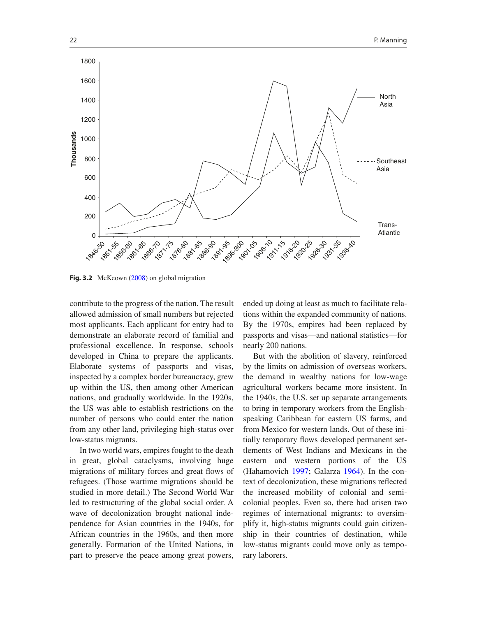

Fig. 3.2 McKeown (2008) on global migration

contribute to the progress of the nation. The result allowed admission of small numbers but rejected most applicants. Each applicant for entry had to demonstrate an elaborate record of familial and professional excellence. In response, schools developed in China to prepare the applicants. Elaborate systems of passports and visas, inspected by a complex border bureaucracy, grew up within the US, then among other American nations, and gradually worldwide. In the 1920s, the US was able to establish restrictions on the number of persons who could enter the nation from any other land, privileging high-status over low-status migrants.

In two world wars, empires fought to the death in great, global cataclysms, involving huge migrations of military forces and great flows of refugees. (Those wartime migrations should be studied in more detail.) The Second World War led to restructuring of the global social order. A wave of decolonization brought national independence for Asian countries in the 1940s, for African countries in the 1960s, and then more generally. Formation of the United Nations, in part to preserve the peace among great powers,

ended up doing at least as much to facilitate relations within the expanded community of nations. By the 1970s, empires had been replaced by passports and visas—and national statistics—for nearly 200 nations.

But with the abolition of slavery, reinforced by the limits on admission of overseas workers, the demand in wealthy nations for low-wage agricultural workers became more insistent. In the 1940s, the U.S. set up separate arrangements to bring in temporary workers from the Englishspeaking Caribbean for eastern US farms, and from Mexico for western lands. Out of these initially temporary flows developed permanent settlements of West Indians and Mexicans in the eastern and western portions of the US (Hahamovich 1997; Galarza 1964). In the context of decolonization, these migrations reflected the increased mobility of colonial and semicolonial peoples. Even so, there had arisen two regimes of international migrants: to oversimplify it, high-status migrants could gain citizenship in their countries of destination, while low-status migrants could move only as temporary laborers.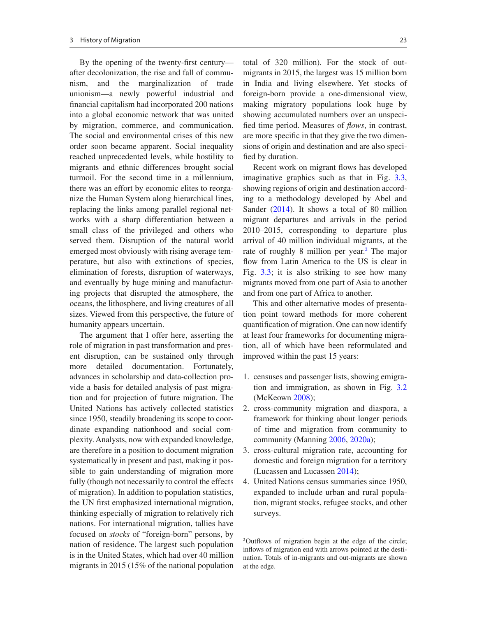By the opening of the twenty-first century after decolonization, the rise and fall of communism, and the marginalization of trade unionism—a newly powerful industrial and financial capitalism had incorporated 200 nations into a global economic network that was united by migration, commerce, and communication. The social and environmental crises of this new order soon became apparent. Social inequality reached unprecedented levels, while hostility to migrants and ethnic differences brought social turmoil. For the second time in a millennium, there was an effort by economic elites to reorganize the Human System along hierarchical lines, replacing the links among parallel regional networks with a sharp differentiation between a small class of the privileged and others who served them. Disruption of the natural world emerged most obviously with rising average temperature, but also with extinctions of species, elimination of forests, disruption of waterways, and eventually by huge mining and manufacturing projects that disrupted the atmosphere, the oceans, the lithosphere, and living creatures of all sizes. Viewed from this perspective, the future of humanity appears uncertain.

The argument that I offer here, asserting the role of migration in past transformation and present disruption, can be sustained only through more detailed documentation. Fortunately, advances in scholarship and data-collection provide a basis for detailed analysis of past migration and for projection of future migration. The United Nations has actively collected statistics since 1950, steadily broadening its scope to coordinate expanding nationhood and social complexity. Analysts, now with expanded knowledge, are therefore in a position to document migration systematically in present and past, making it possible to gain understanding of migration more fully (though not necessarily to control the effects of migration). In addition to population statistics, the UN first emphasized international migration, thinking especially of migration to relatively rich nations. For international migration, tallies have focused on *stocks* of "foreign-born" persons, by nation of residence. The largest such population is in the United States, which had over 40 million migrants in 2015 (15% of the national population total of 320 million). For the stock of outmigrants in 2015, the largest was 15 million born in India and living elsewhere. Yet stocks of foreign-born provide a one-dimensional view, making migratory populations look huge by showing accumulated numbers over an unspeci fied time period. Measures of *flows*, in contrast, are more specific in that they give the two dimensions of origin and destination and are also speci fied by duration.

Recent work on migrant flows has developed imaginative graphics such as that in Fig. 3.3, showing regions of origin and destination according to a methodology developed by Abel and Sander (2014). It shows a total of 80 million migrant departures and arrivals in the period 2010–2015, corresponding to departure plus arrival of 40 million individual migrants, at the rate of roughly 8 million per year.<sup>2</sup> The major flow from Latin America to the US is clear in Fig. 3.3; it is also striking to see how many migrants moved from one part of Asia to another and from one part of Africa to another.

This and other alternative modes of presentation point toward methods for more coherent quantification of migration. One can now identify at least four frameworks for documenting migration, all of which have been reformulated and improved within the past 15 years:

- 1. censuses and passenger lists, showing emigration and immigration, as shown in Fig. 3.2 (McKeown 2008);
- 2. cross-community migration and diaspora, a framework for thinking about longer periods of time and migration from community to community (Manning 2006, 2020a);
- 3. cross-cultural migration rate, accounting for domestic and foreign migration for a territory (Lucassen and Lucassen 2014);
- 4. United Nations census summaries since 1950, expanded to include urban and rural population, migrant stocks, refugee stocks, and other surveys.

<sup>&</sup>lt;sup>2</sup>Outflows of migration begin at the edge of the circle; inflows of migration end with arrows pointed at the destination. Totals of in-migrants and out-migrants are shown at the edge.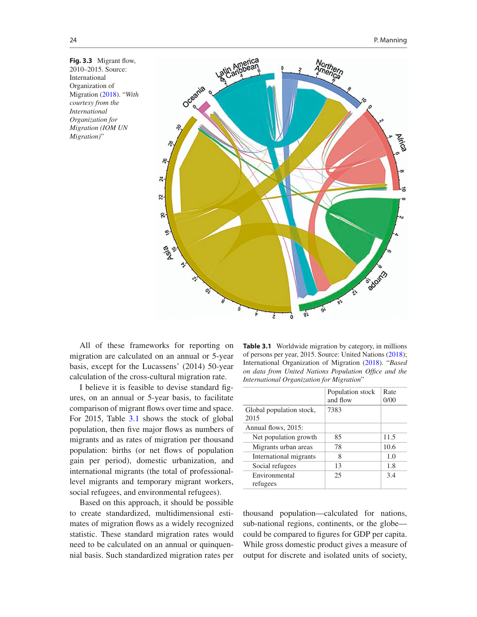Fig. 3.3 Migrant flow, 2010–2015. Source: International Organization of Migration (2018). "*With courtesy from the International Organization for Migration (IOM UN Migration)*"



All of these frameworks for reporting on migration are calculated on an annual or 5-year basis, except for the Lucassens' (2014) 50-year calculation of the cross-cultural migration rate.

I believe it is feasible to devise standard figures, on an annual or 5-year basis, to facilitate comparison of migrant flows over time and space. For 2015, Table 3.1 shows the stock of global population, then five major flows as numbers of migrants and as rates of migration per thousand population: births (or net flows of population gain per period), domestic urbanization, and international migrants (the total of professionallevel migrants and temporary migrant workers, social refugees, and environmental refugees).

Based on this approach, it should be possible to create standardized, multidimensional estimates of migration flows as a widely recognized statistic. These standard migration rates would need to be calculated on an annual or quinquennial basis. Such standardized migration rates per

**Table 3.1** Worldwide migration by category, in millions of persons per year, 2015. Source: United Nations (2018); International Organization of Migration (2018). "*Based on data from United Nations Population Of"ce and the International Organization for Migration*"

|                                  | Population stock | Rate |
|----------------------------------|------------------|------|
|                                  | and flow         | 0/00 |
| Global population stock,<br>2015 | 7383             |      |
| Annual flows, 2015:              |                  |      |
| Net population growth            | 85               | 11.5 |
| Migrants urban areas             | 78               | 10.6 |
| International migrants           | 8                | 1.0  |
| Social refugees                  | 13               | 1.8  |
| Environmental<br>refugees        | 25               | 3.4  |
|                                  |                  |      |

thousand population—calculated for nations, sub-national regions, continents, or the globe could be compared to figures for GDP per capita. While gross domestic product gives a measure of output for discrete and isolated units of society,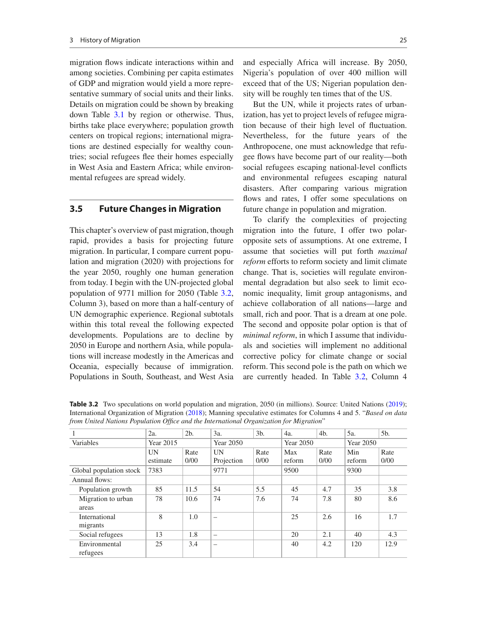migration flows indicate interactions within and among societies. Combining per capita estimates of GDP and migration would yield a more representative summary of social units and their links. Details on migration could be shown by breaking down Table 3.1 by region or otherwise. Thus, births take place everywhere; population growth centers on tropical regions; international migrations are destined especially for wealthy countries; social refugees flee their homes especially in West Asia and Eastern Africa; while environmental refugees are spread widely.

#### **3.5 Future Changes in Migration**

This chapter's overview of past migration, though rapid, provides a basis for projecting future migration. In particular, I compare current population and migration (2020) with projections for the year 2050, roughly one human generation from today. I begin with the UN-projected global population of 9771 million for 2050 (Table 3.2, Column 3), based on more than a half-century of UN demographic experience. Regional subtotals within this total reveal the following expected developments. Populations are to decline by 2050 in Europe and northern Asia, while populations will increase modestly in the Americas and Oceania, especially because of immigration. Populations in South, Southeast, and West Asia

and especially Africa will increase. By 2050, Nigeria's population of over 400 million will exceed that of the US; Nigerian population density will be roughly ten times that of the US.

But the UN, while it projects rates of urbanization, has yet to project levels of refugee migration because of their high level of fluctuation. Nevertheless, for the future years of the Anthropocene, one must acknowledge that refugee flows have become part of our reality—both social refugees escaping national-level conflicts and environmental refugees escaping natural disasters. After comparing various migration flows and rates, I offer some speculations on future change in population and migration.

To clarify the complexities of projecting migration into the future, I offer two polaropposite sets of assumptions. At one extreme, I assume that societies will put forth *maximal reform* efforts to reform society and limit climate change. That is, societies will regulate environmental degradation but also seek to limit economic inequality, limit group antagonisms, and achieve collaboration of all nations—large and small, rich and poor. That is a dream at one pole. The second and opposite polar option is that of *minimal reform*, in which I assume that individuals and societies will implement no additional corrective policy for climate change or social reform. This second pole is the path on which we are currently headed. In Table 3.2, Column 4

1 2a. 2b. 3a. 3b. 4a. 4b. 5a. 5b. Variables Year 2015 Year 2050 Year 2050 Year 2050 UN estimate Rate 0/00 UN Projection Rate 0/00 Max reform Rate 0/00 Min reform Rate 0/00 Global population stock | 7383 | 9771 | 9500 | 9300 Annual flows: Population growth 85 11.5 54 5.5 45 4.7 35 3.8 Migration to urban areas 78 10.6 74 7.6 74 7.8 80 8.6 International migrants 8 | 1.0 |- | 25 | 2.6 | 16 | 1.7 Social refugees  $\begin{array}{|c|c|c|c|c|c|c|c|} \hline 13 & 1.8 & - & 20 & 2.1 & 40 & 4.3 \\ \hline \end{array}$  Environmental refugees 25 3.4 – 40 4.2 120 12.9

**Table 3.2** Two speculations on world population and migration, 2050 (in millions). Source: United Nations (2019); International Organization of Migration (2018); Manning speculative estimates for Columns 4 and 5. "*Based on data from United Nations Population Of"ce and the International Organization for Migration*"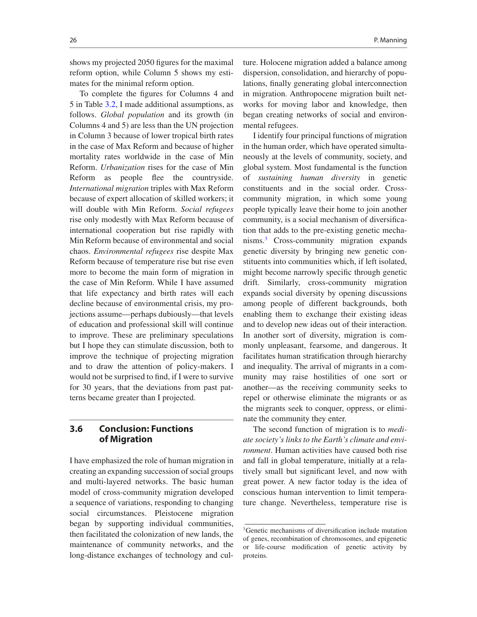shows my projected 2050 figures for the maximal reform option, while Column 5 shows my estimates for the minimal reform option.

To complete the figures for Columns 4 and 5 in Table 3.2, I made additional assumptions, as follows. *Global population* and its growth (in Columns 4 and 5) are less than the UN projection in Column 3 because of lower tropical birth rates in the case of Max Reform and because of higher mortality rates worldwide in the case of Min Reform. *Urbanization* rises for the case of Min Reform as people flee the countryside. *International migration* triples with Max Reform because of expert allocation of skilled workers; it will double with Min Reform. *Social refugees* rise only modestly with Max Reform because of international cooperation but rise rapidly with Min Reform because of environmental and social chaos. *Environmental refugees* rise despite Max Reform because of temperature rise but rise even more to become the main form of migration in the case of Min Reform. While I have assumed that life expectancy and birth rates will each decline because of environmental crisis, my projections assume—perhaps dubiously—that levels of education and professional skill will continue to improve. These are preliminary speculations but I hope they can stimulate discussion, both to improve the technique of projecting migration and to draw the attention of policy-makers. I would not be surprised to find, if I were to survive for 30 years, that the deviations from past patterns became greater than I projected.

#### **3.6 Conclusion: Functions of Migration**

I have emphasized the role of human migration in creating an expanding succession of social groups and multi-layered networks. The basic human model of cross-community migration developed a sequence of variations, responding to changing social circumstances. Pleistocene migration began by supporting individual communities, then facilitated the colonization of new lands, the maintenance of community networks, and the long-distance exchanges of technology and culture. Holocene migration added a balance among dispersion, consolidation, and hierarchy of populations, finally generating global interconnection in migration. Anthropocene migration built networks for moving labor and knowledge, then began creating networks of social and environmental refugees.

I identify four principal functions of migration in the human order, which have operated simultaneously at the levels of community, society, and global system. Most fundamental is the function of *sustaining human diversity* in genetic constituents and in the social order. Crosscommunity migration, in which some young people typically leave their home to join another community, is a social mechanism of diversification that adds to the pre-existing genetic mechanisms.3 Cross-community migration expands genetic diversity by bringing new genetic constituents into communities which, if left isolated, might become narrowly specific through genetic drift. Similarly, cross-community migration expands social diversity by opening discussions among people of different backgrounds, both enabling them to exchange their existing ideas and to develop new ideas out of their interaction. In another sort of diversity, migration is commonly unpleasant, fearsome, and dangerous. It facilitates human stratification through hierarchy and inequality. The arrival of migrants in a community may raise hostilities of one sort or another—as the receiving community seeks to repel or otherwise eliminate the migrants or as the migrants seek to conquer, oppress, or eliminate the community they enter.

The second function of migration is to *mediate society's links to the Earth's climate and environment*. Human activities have caused both rise and fall in global temperature, initially at a relatively small but significant level, and now with great power. A new factor today is the idea of conscious human intervention to limit temperature change. Nevertheless, temperature rise is

<sup>&</sup>lt;sup>3</sup>Genetic mechanisms of diversification include mutation of genes, recombination of chromosomes, and epigenetic or life-course modification of genetic activity by proteins.